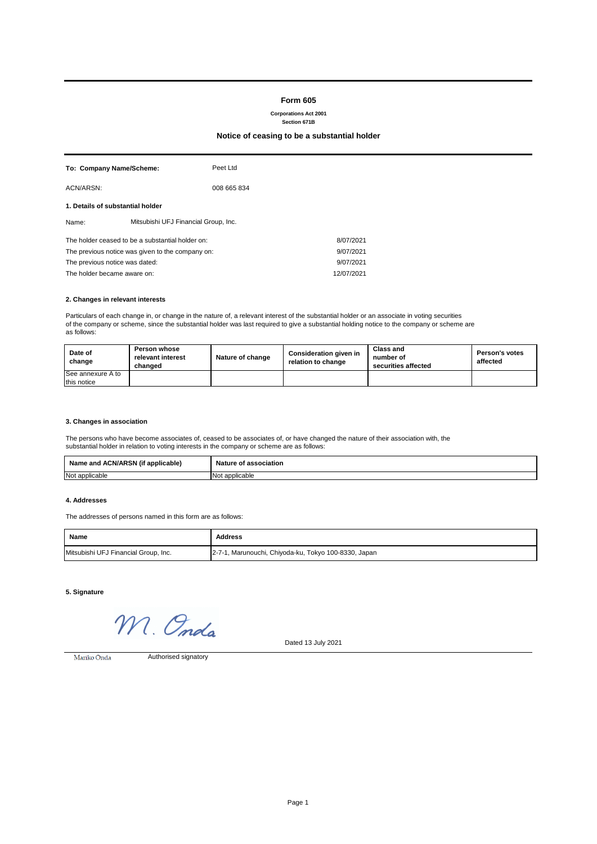## **Form 605**

**Corporations Act 2001**

# **Section 671B**

## **Notice of ceasing to be a substantial holder**

| To: Company Name/Scheme:                         |  | Peet Ltd                             |           |  |
|--------------------------------------------------|--|--------------------------------------|-----------|--|
| ACN/ARSN:                                        |  | 008 665 834                          |           |  |
| 1. Details of substantial holder                 |  |                                      |           |  |
| Name:                                            |  | Mitsubishi UFJ Financial Group, Inc. |           |  |
| The holder ceased to be a substantial holder on: |  |                                      | 8/07/2021 |  |
| The previous notice was given to the company on: |  | 9/07/2021                            |           |  |
| The previous notice was dated:                   |  |                                      | 9/07/2021 |  |
| The holder became aware on:                      |  | 12/07/2021                           |           |  |

### **2. Changes in relevant interests**

Particulars of each change in, or change in the nature of, a relevant interest of the substantial holder or an associate in voting securities of the company or scheme, since the substantial holder was last required to give a substantial holding notice to the company or scheme are as follows:

| Date of<br>change | <b>Person whose</b><br>relevant interest<br>changed | Nature of change | <b>Consideration given in</b><br>relation to change | Class and<br>number of<br>securities affected | <b>Person's votes</b><br>affected |
|-------------------|-----------------------------------------------------|------------------|-----------------------------------------------------|-----------------------------------------------|-----------------------------------|
| See annexure A to |                                                     |                  |                                                     |                                               |                                   |
| this notice       |                                                     |                  |                                                     |                                               |                                   |

### **3. Changes in association**

The persons who have become associates of, ceased to be associates of, or have changed the nature of their association with, the substantial holder in relation to voting interests in the company or scheme are as follows:

| $\cdots$<br>J (if<br>Name and ACN/ARSN<br>applicable) | Nature of<br>l association |  |
|-------------------------------------------------------|----------------------------|--|
| Not applicable                                        | Not applicable             |  |

#### **4. Addresses**

The addresses of persons named in this form are as follows:

| Name                                 | Address                                              |
|--------------------------------------|------------------------------------------------------|
| Mitsubishi UFJ Financial Group, Inc. | 2-7-1, Marunouchi, Chiyoda-ku, Tokyo 100-8330, Japan |

**5. Signature**

M. Onda

Dated 13 July 2021

Mariko Onda

Authorised signatory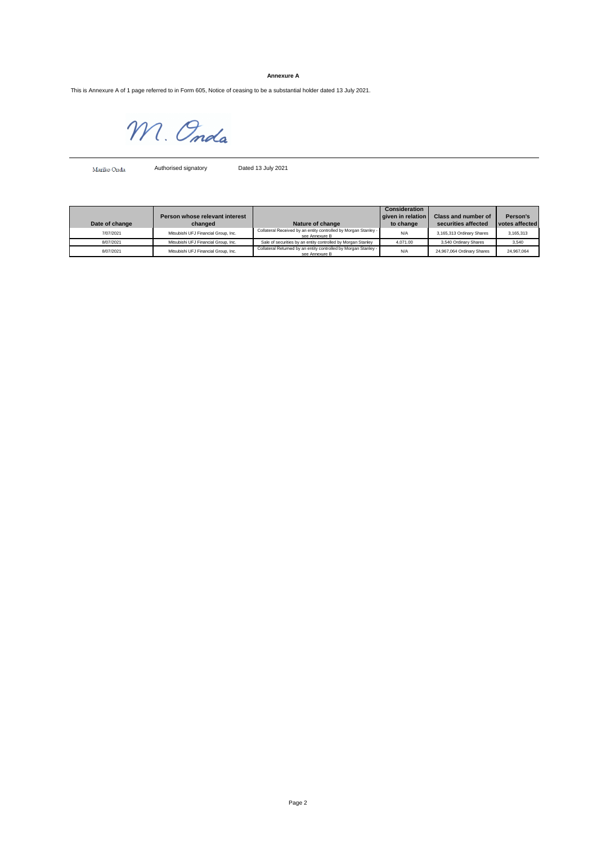### **Annexure A**

This is Annexure A of 1 page referred to in Form 605, Notice of ceasing to be a substantial holder dated 13 July 2021.

M. Onda

Mariko Onda Authorised signatory Dated 13 July 2021

|                |                                      |                                                                                   | Consideration     |                            |                |
|----------------|--------------------------------------|-----------------------------------------------------------------------------------|-------------------|----------------------------|----------------|
|                | Person whose relevant interest       |                                                                                   | given in relation | Class and number of        | Person's       |
| Date of change | changed                              | Nature of change                                                                  | to change         | securities affected        | votes affected |
| 7/07/2021      | Mitsubishi UFJ Financial Group, Inc. | Collateral Received by an entity controlled by Morgan Stanley -<br>see Annexure B | N/A               | 3,165,313 Ordinary Shares  | 3.165.313      |
| 8/07/2021      | Mitsubishi UFJ Financial Group, Inc. | Sale of securities by an entity controlled by Morgan Stanley                      | 4.071.00          | 3,540 Ordinary Shares      | 3,540          |
| 8/07/2021      | Mitsubishi UFJ Financial Group, Inc. | Collateral Returned by an entity controlled by Morgan Stanley -<br>see Annexure B | N/A               | 24,967,064 Ordinary Shares | 24.967.064     |